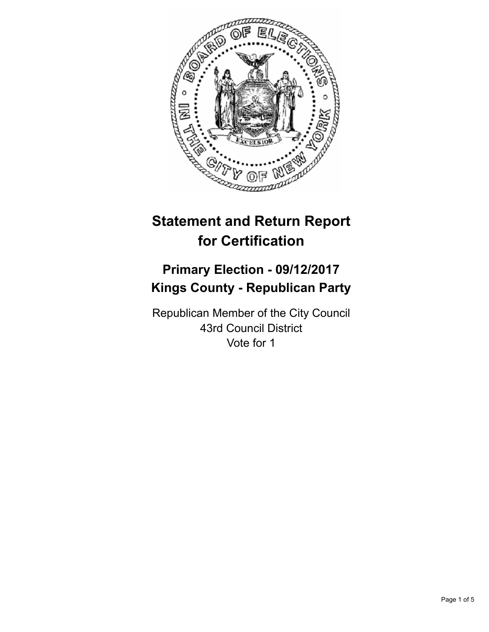

# **Statement and Return Report for Certification**

# **Primary Election - 09/12/2017 Kings County - Republican Party**

Republican Member of the City Council 43rd Council District Vote for 1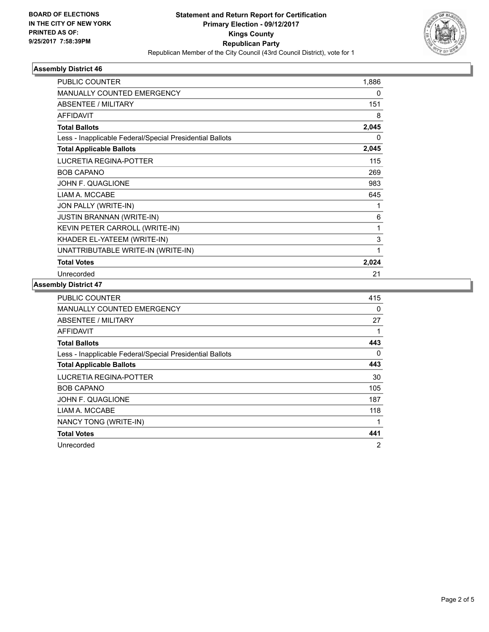

## **Assembly District 46**

| <b>PUBLIC COUNTER</b>                                    | 1,886    |
|----------------------------------------------------------|----------|
| MANUALLY COUNTED EMERGENCY                               | 0        |
| <b>ABSENTEE / MILITARY</b>                               | 151      |
| <b>AFFIDAVIT</b>                                         | 8        |
| <b>Total Ballots</b>                                     | 2,045    |
| Less - Inapplicable Federal/Special Presidential Ballots | $\Omega$ |
| <b>Total Applicable Ballots</b>                          | 2,045    |
| <b>LUCRETIA REGINA-POTTER</b>                            | 115      |
| <b>BOB CAPANO</b>                                        | 269      |
| <b>JOHN F. QUAGLIONE</b>                                 | 983      |
| LIAM A. MCCABE                                           | 645      |
| JON PALLY (WRITE-IN)                                     | 1        |
| <b>JUSTIN BRANNAN (WRITE-IN)</b>                         | 6        |
| KEVIN PETER CARROLL (WRITE-IN)                           | 1        |
| KHADER EL-YATEEM (WRITE-IN)                              | 3        |
| UNATTRIBUTABLE WRITE-IN (WRITE-IN)                       | 1        |
| <b>Total Votes</b>                                       | 2,024    |
| Unrecorded                                               | 21       |

#### **Assembly District 47**

| <b>PUBLIC COUNTER</b>                                    | 415            |
|----------------------------------------------------------|----------------|
| MANUALLY COUNTED EMERGENCY                               | 0              |
| ABSENTEE / MILITARY                                      | 27             |
| AFFIDAVIT                                                |                |
| <b>Total Ballots</b>                                     | 443            |
| Less - Inapplicable Federal/Special Presidential Ballots | 0              |
| <b>Total Applicable Ballots</b>                          | 443            |
| LUCRETIA REGINA-POTTER                                   | 30             |
| <b>BOB CAPANO</b>                                        | 105            |
| JOHN F. QUAGLIONE                                        | 187            |
| LIAM A. MCCABE                                           | 118            |
| NANCY TONG (WRITE-IN)                                    | 1              |
| <b>Total Votes</b>                                       | 441            |
| Unrecorded                                               | $\overline{2}$ |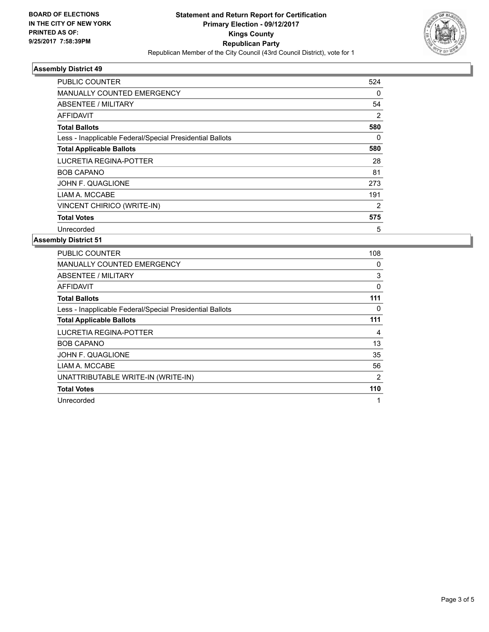

## **Assembly District 49**

| PUBLIC COUNTER                                           | 524            |
|----------------------------------------------------------|----------------|
| <b>MANUALLY COUNTED EMERGENCY</b>                        | 0              |
| ABSENTEE / MILITARY                                      | 54             |
| AFFIDAVIT                                                | 2              |
| <b>Total Ballots</b>                                     | 580            |
| Less - Inapplicable Federal/Special Presidential Ballots | 0              |
| <b>Total Applicable Ballots</b>                          | 580            |
| LUCRETIA REGINA-POTTER                                   | 28             |
| <b>BOB CAPANO</b>                                        | 81             |
| JOHN F. QUAGLIONE                                        | 273            |
| LIAM A. MCCABE                                           | 191            |
| VINCENT CHIRICO (WRITE-IN)                               | $\overline{2}$ |
| <b>Total Votes</b>                                       | 575            |
| Unrecorded                                               | 5              |

## **Assembly District 51**

| <b>PUBLIC COUNTER</b>                                    | 108 |
|----------------------------------------------------------|-----|
| <b>MANUALLY COUNTED EMERGENCY</b>                        | 0   |
| ABSENTEE / MILITARY                                      | 3   |
| <b>AFFIDAVIT</b>                                         | 0   |
| <b>Total Ballots</b>                                     | 111 |
| Less - Inapplicable Federal/Special Presidential Ballots | 0   |
| <b>Total Applicable Ballots</b>                          | 111 |
| LUCRETIA REGINA-POTTER                                   | 4   |
| <b>BOB CAPANO</b>                                        | 13  |
| JOHN F. QUAGLIONE                                        | 35  |
| LIAM A. MCCABE                                           | 56  |
| UNATTRIBUTABLE WRITE-IN (WRITE-IN)                       | 2   |
| <b>Total Votes</b>                                       | 110 |
| Unrecorded                                               | 1   |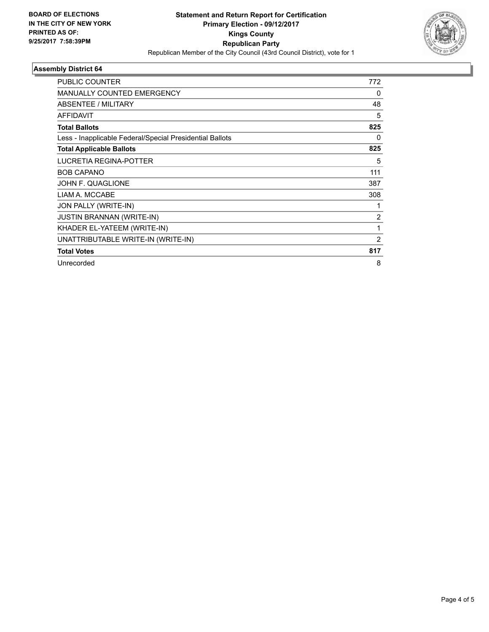

## **Assembly District 64**

| <b>PUBLIC COUNTER</b>                                    | 772            |
|----------------------------------------------------------|----------------|
| <b>MANUALLY COUNTED EMERGENCY</b>                        | 0              |
| ABSENTEE / MILITARY                                      | 48             |
| <b>AFFIDAVIT</b>                                         | 5              |
| <b>Total Ballots</b>                                     | 825            |
| Less - Inapplicable Federal/Special Presidential Ballots | 0              |
| <b>Total Applicable Ballots</b>                          | 825            |
| LUCRETIA REGINA-POTTER                                   | 5              |
| <b>BOB CAPANO</b>                                        | 111            |
| <b>JOHN F. QUAGLIONE</b>                                 | 387            |
| LIAM A. MCCABE                                           | 308            |
| JON PALLY (WRITE-IN)                                     |                |
| <b>JUSTIN BRANNAN (WRITE-IN)</b>                         | $\overline{c}$ |
| KHADER EL-YATEEM (WRITE-IN)                              | 1              |
| UNATTRIBUTABLE WRITE-IN (WRITE-IN)                       | $\overline{2}$ |
| <b>Total Votes</b>                                       | 817            |
| Unrecorded                                               | 8              |